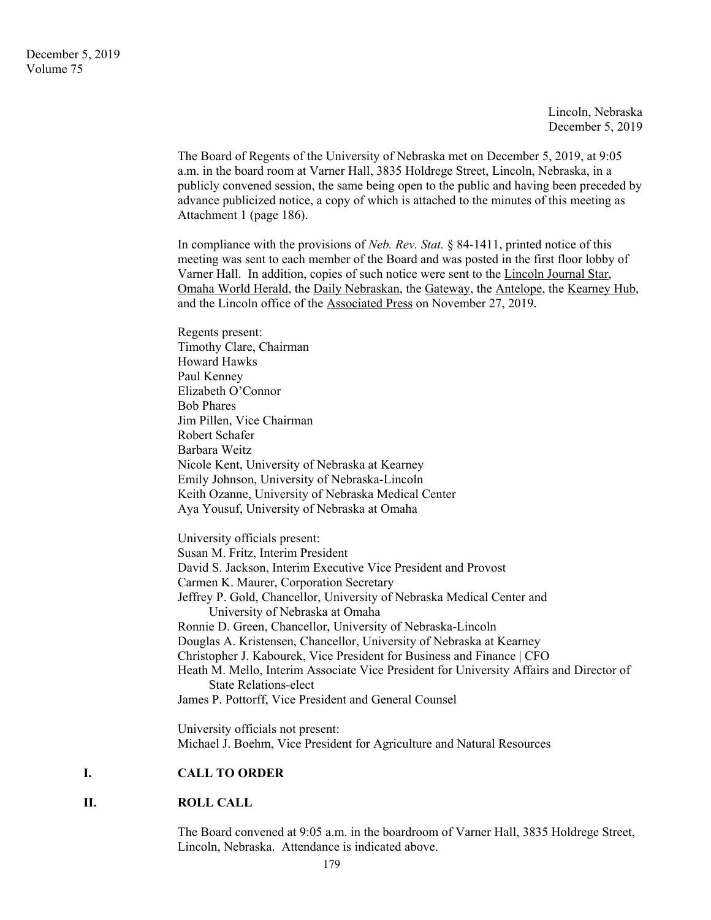Lincoln, Nebraska December 5, 2019

The Board of Regents of the University of Nebraska met on December 5, 2019, at 9:05 a.m. in the board room at Varner Hall, 3835 Holdrege Street, Lincoln, Nebraska, in a publicly convened session, the same being open to the public and having been preceded by advance publicized notice, a copy of which is attached to the minutes of this meeting as Attachment 1 (page 186).

In compliance with the provisions of *Neb. Rev. Stat.* § 84-1411, printed notice of this meeting was sent to each member of the Board and was posted in the first floor lobby of Varner Hall. In addition, copies of such notice were sent to the Lincoln Journal Star, Omaha World Herald, the Daily Nebraskan, the Gateway, the Antelope, the Kearney Hub, and the Lincoln office of the Associated Press on November 27, 2019.

Regents present: Timothy Clare, Chairman Howard Hawks Paul Kenney Elizabeth O'Connor Bob Phares Jim Pillen, Vice Chairman Robert Schafer Barbara Weitz Nicole Kent, University of Nebraska at Kearney Emily Johnson, University of Nebraska-Lincoln Keith Ozanne, University of Nebraska Medical Center Aya Yousuf, University of Nebraska at Omaha University officials present: Susan M. Fritz, Interim President David S. Jackson, Interim Executive Vice President and Provost Carmen K. Maurer, Corporation Secretary Jeffrey P. Gold, Chancellor, University of Nebraska Medical Center and University of Nebraska at Omaha Ronnie D. Green, Chancellor, University of Nebraska-Lincoln Douglas A. Kristensen, Chancellor, University of Nebraska at Kearney Christopher J. Kabourek, Vice President for Business and Finance | CFO Heath M. Mello, Interim Associate Vice President for University Affairs and Director of State Relations-elect James P. Pottorff, Vice President and General Counsel University officials not present:

Michael J. Boehm, Vice President for Agriculture and Natural Resources

# **I. CALL TO ORDER**

### **II. ROLL CALL**

The Board convened at 9:05 a.m. in the boardroom of Varner Hall, 3835 Holdrege Street, Lincoln, Nebraska. Attendance is indicated above.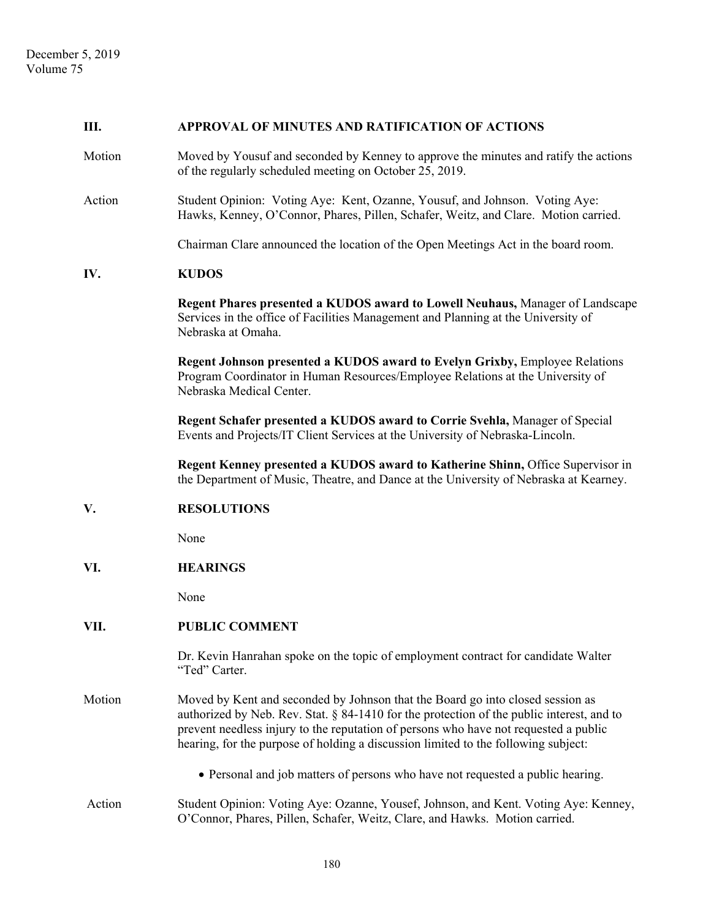### **III. APPROVAL OF MINUTES AND RATIFICATION OF ACTIONS**

- Motion Moved by Yousuf and seconded by Kenney to approve the minutes and ratify the actions of the regularly scheduled meeting on October 25, 2019.
- Action Student Opinion: Voting Aye: Kent, Ozanne, Yousuf, and Johnson. Voting Aye: Hawks, Kenney, O'Connor, Phares, Pillen, Schafer, Weitz, and Clare. Motion carried.

Chairman Clare announced the location of the Open Meetings Act in the board room.

### **IV. KUDOS**

**Regent Phares presented a KUDOS award to Lowell Neuhaus,** Manager of Landscape Services in the office of Facilities Management and Planning at the University of Nebraska at Omaha.

**Regent Johnson presented a KUDOS award to Evelyn Grixby,** Employee Relations Program Coordinator in Human Resources/Employee Relations at the University of Nebraska Medical Center.

**Regent Schafer presented a KUDOS award to Corrie Svehla,** Manager of Special Events and Projects/IT Client Services at the University of Nebraska-Lincoln.

 **Regent Kenney presented a KUDOS award to Katherine Shinn,** Office Supervisor in the Department of Music, Theatre, and Dance at the University of Nebraska at Kearney.

### **V. RESOLUTIONS**

None

#### **VI. HEARINGS**

None

### **VII. PUBLIC COMMENT**

 Dr. Kevin Hanrahan spoke on the topic of employment contract for candidate Walter "Ted" Carter.

- Motion Moved by Kent and seconded by Johnson that the Board go into closed session as authorized by Neb. Rev. Stat. § 84-1410 for the protection of the public interest, and to prevent needless injury to the reputation of persons who have not requested a public hearing, for the purpose of holding a discussion limited to the following subject:
	- Personal and job matters of persons who have not requested a public hearing.
- Action Student Opinion: Voting Aye: Ozanne, Yousef, Johnson, and Kent. Voting Aye: Kenney, O'Connor, Phares, Pillen, Schafer, Weitz, Clare, and Hawks. Motion carried.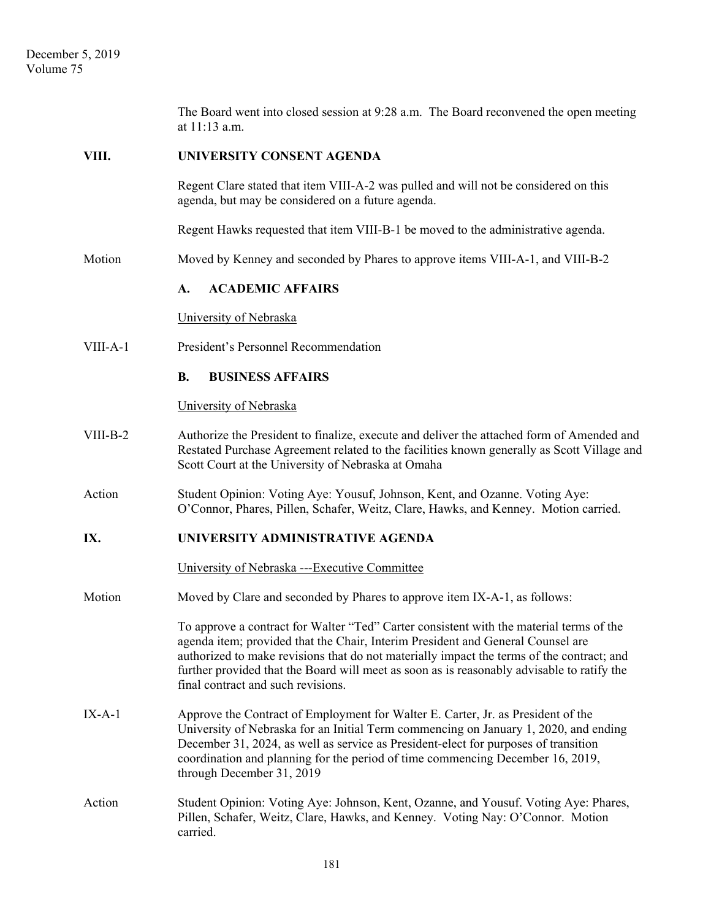|          | The Board went into closed session at 9:28 a.m. The Board reconvened the open meeting<br>at 11:13 a.m.                                                                                                                                                                                                                                                                                                      |  |  |
|----------|-------------------------------------------------------------------------------------------------------------------------------------------------------------------------------------------------------------------------------------------------------------------------------------------------------------------------------------------------------------------------------------------------------------|--|--|
| VIII.    | UNIVERSITY CONSENT AGENDA                                                                                                                                                                                                                                                                                                                                                                                   |  |  |
|          | Regent Clare stated that item VIII-A-2 was pulled and will not be considered on this<br>agenda, but may be considered on a future agenda.                                                                                                                                                                                                                                                                   |  |  |
|          | Regent Hawks requested that item VIII-B-1 be moved to the administrative agenda.                                                                                                                                                                                                                                                                                                                            |  |  |
| Motion   | Moved by Kenney and seconded by Phares to approve items VIII-A-1, and VIII-B-2                                                                                                                                                                                                                                                                                                                              |  |  |
|          | <b>ACADEMIC AFFAIRS</b><br>A.                                                                                                                                                                                                                                                                                                                                                                               |  |  |
|          | University of Nebraska                                                                                                                                                                                                                                                                                                                                                                                      |  |  |
| VIII-A-1 | President's Personnel Recommendation                                                                                                                                                                                                                                                                                                                                                                        |  |  |
|          | <b>B.</b><br><b>BUSINESS AFFAIRS</b>                                                                                                                                                                                                                                                                                                                                                                        |  |  |
|          | University of Nebraska                                                                                                                                                                                                                                                                                                                                                                                      |  |  |
| VIII-B-2 | Authorize the President to finalize, execute and deliver the attached form of Amended and<br>Restated Purchase Agreement related to the facilities known generally as Scott Village and<br>Scott Court at the University of Nebraska at Omaha                                                                                                                                                               |  |  |
| Action   | Student Opinion: Voting Aye: Yousuf, Johnson, Kent, and Ozanne. Voting Aye:<br>O'Connor, Phares, Pillen, Schafer, Weitz, Clare, Hawks, and Kenney. Motion carried.                                                                                                                                                                                                                                          |  |  |
| IX.      | UNIVERSITY ADMINISTRATIVE AGENDA                                                                                                                                                                                                                                                                                                                                                                            |  |  |
|          | University of Nebraska ---Executive Committee                                                                                                                                                                                                                                                                                                                                                               |  |  |
| Motion   | Moved by Clare and seconded by Phares to approve item IX-A-1, as follows:                                                                                                                                                                                                                                                                                                                                   |  |  |
|          | To approve a contract for Walter "Ted" Carter consistent with the material terms of the<br>agenda item; provided that the Chair, Interim President and General Counsel are<br>authorized to make revisions that do not materially impact the terms of the contract; and<br>further provided that the Board will meet as soon as is reasonably advisable to ratify the<br>final contract and such revisions. |  |  |
| $IX-A-1$ | Approve the Contract of Employment for Walter E. Carter, Jr. as President of the<br>University of Nebraska for an Initial Term commencing on January 1, 2020, and ending<br>December 31, 2024, as well as service as President-elect for purposes of transition<br>coordination and planning for the period of time commencing December 16, 2019,<br>through December 31, 2019                              |  |  |
| Action   | Student Opinion: Voting Aye: Johnson, Kent, Ozanne, and Yousuf. Voting Aye: Phares,<br>Pillen, Schafer, Weitz, Clare, Hawks, and Kenney. Voting Nay: O'Connor. Motion<br>carried.                                                                                                                                                                                                                           |  |  |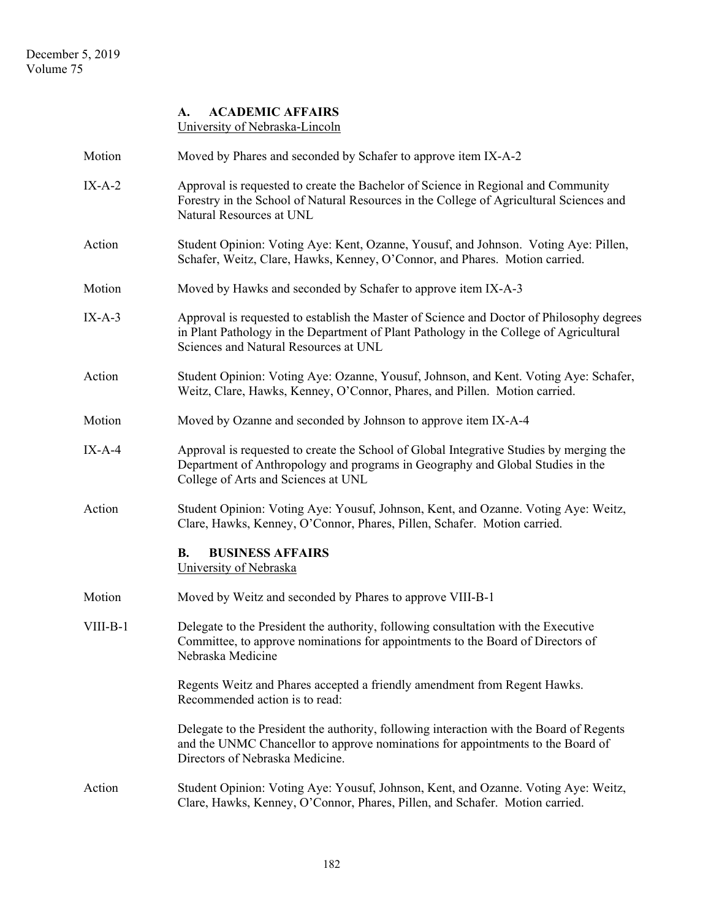## **A. ACADEMIC AFFAIRS**

University of Nebraska-Lincoln

- Motion Moved by Phares and seconded by Schafer to approve item IX-A-2
- IX-A-2 Approval is requested to create the Bachelor of Science in Regional and Community Forestry in the School of Natural Resources in the College of Agricultural Sciences and Natural Resources at UNL
- Action Student Opinion: Voting Aye: Kent, Ozanne, Yousuf, and Johnson. Voting Aye: Pillen, Schafer, Weitz, Clare, Hawks, Kenney, O'Connor, and Phares. Motion carried.
- Motion Moved by Hawks and seconded by Schafer to approve item IX-A-3
- IX-A-3 Approval is requested to establish the Master of Science and Doctor of Philosophy degrees in Plant Pathology in the Department of Plant Pathology in the College of Agricultural Sciences and Natural Resources at UNL
- Action Student Opinion: Voting Aye: Ozanne, Yousuf, Johnson, and Kent. Voting Aye: Schafer, Weitz, Clare, Hawks, Kenney, O'Connor, Phares, and Pillen. Motion carried.
- Motion Moved by Ozanne and seconded by Johnson to approve item IX-A-4
- IX-A-4 Approval is requested to create the School of Global Integrative Studies by merging the Department of Anthropology and programs in Geography and Global Studies in the College of Arts and Sciences at UNL
- Action Student Opinion: Voting Aye: Yousuf, Johnson, Kent, and Ozanne. Voting Aye: Weitz, Clare, Hawks, Kenney, O'Connor, Phares, Pillen, Schafer. Motion carried.

# **B. BUSINESS AFFAIRS**

University of Nebraska

- Motion Moved by Weitz and seconded by Phares to approve VIII-B-1
- VIII-B-1 Delegate to the President the authority, following consultation with the Executive Committee, to approve nominations for appointments to the Board of Directors of Nebraska Medicine

 Regents Weitz and Phares accepted a friendly amendment from Regent Hawks. Recommended action is to read:

 Delegate to the President the authority, following interaction with the Board of Regents and the UNMC Chancellor to approve nominations for appointments to the Board of Directors of Nebraska Medicine.

Action Student Opinion: Voting Aye: Yousuf, Johnson, Kent, and Ozanne. Voting Aye: Weitz, Clare, Hawks, Kenney, O'Connor, Phares, Pillen, and Schafer. Motion carried.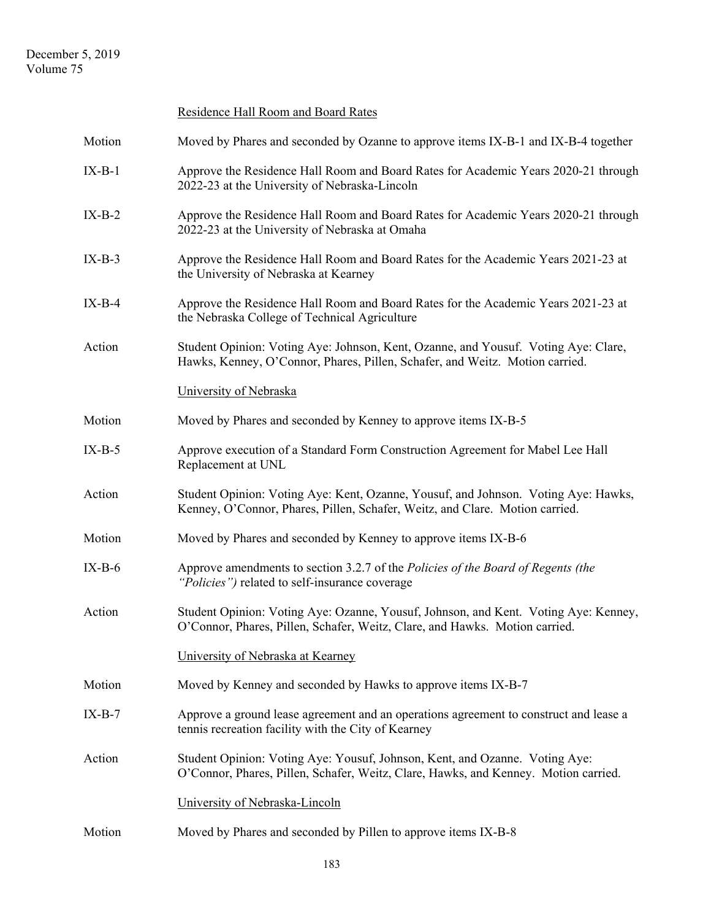# December 5, 2019 Volume 75

# Residence Hall Room and Board Rates

| Motion   | Moved by Phares and seconded by Ozanne to approve items IX-B-1 and IX-B-4 together                                                                                 |  |  |
|----------|--------------------------------------------------------------------------------------------------------------------------------------------------------------------|--|--|
| $IX-B-1$ | Approve the Residence Hall Room and Board Rates for Academic Years 2020-21 through<br>2022-23 at the University of Nebraska-Lincoln                                |  |  |
| $IX-B-2$ | Approve the Residence Hall Room and Board Rates for Academic Years 2020-21 through<br>2022-23 at the University of Nebraska at Omaha                               |  |  |
| $IX-B-3$ | Approve the Residence Hall Room and Board Rates for the Academic Years 2021-23 at<br>the University of Nebraska at Kearney                                         |  |  |
| $IX-B-4$ | Approve the Residence Hall Room and Board Rates for the Academic Years 2021-23 at<br>the Nebraska College of Technical Agriculture                                 |  |  |
| Action   | Student Opinion: Voting Aye: Johnson, Kent, Ozanne, and Yousuf. Voting Aye: Clare,<br>Hawks, Kenney, O'Connor, Phares, Pillen, Schafer, and Weitz. Motion carried. |  |  |
|          | University of Nebraska                                                                                                                                             |  |  |
| Motion   | Moved by Phares and seconded by Kenney to approve items IX-B-5                                                                                                     |  |  |
| $IX-B-5$ | Approve execution of a Standard Form Construction Agreement for Mabel Lee Hall<br>Replacement at UNL                                                               |  |  |
| Action   | Student Opinion: Voting Aye: Kent, Ozanne, Yousuf, and Johnson. Voting Aye: Hawks,<br>Kenney, O'Connor, Phares, Pillen, Schafer, Weitz, and Clare. Motion carried. |  |  |
| Motion   | Moved by Phares and seconded by Kenney to approve items IX-B-6                                                                                                     |  |  |
| $IX-B-6$ | Approve amendments to section 3.2.7 of the Policies of the Board of Regents (the<br>"Policies") related to self-insurance coverage                                 |  |  |
| Action   | Student Opinion: Voting Aye: Ozanne, Yousuf, Johnson, and Kent. Voting Aye: Kenney,<br>O'Connor, Phares, Pillen, Schafer, Weitz, Clare, and Hawks. Motion carried. |  |  |
|          | University of Nebraska at Kearney                                                                                                                                  |  |  |
| Motion   | Moved by Kenney and seconded by Hawks to approve items IX-B-7                                                                                                      |  |  |
| $IX-B-7$ | Approve a ground lease agreement and an operations agreement to construct and lease a<br>tennis recreation facility with the City of Kearney                       |  |  |
| Action   | Student Opinion: Voting Aye: Yousuf, Johnson, Kent, and Ozanne. Voting Aye:<br>O'Connor, Phares, Pillen, Schafer, Weitz, Clare, Hawks, and Kenney. Motion carried. |  |  |
|          | University of Nebraska-Lincoln                                                                                                                                     |  |  |
| Motion   | Moved by Phares and seconded by Pillen to approve items IX-B-8                                                                                                     |  |  |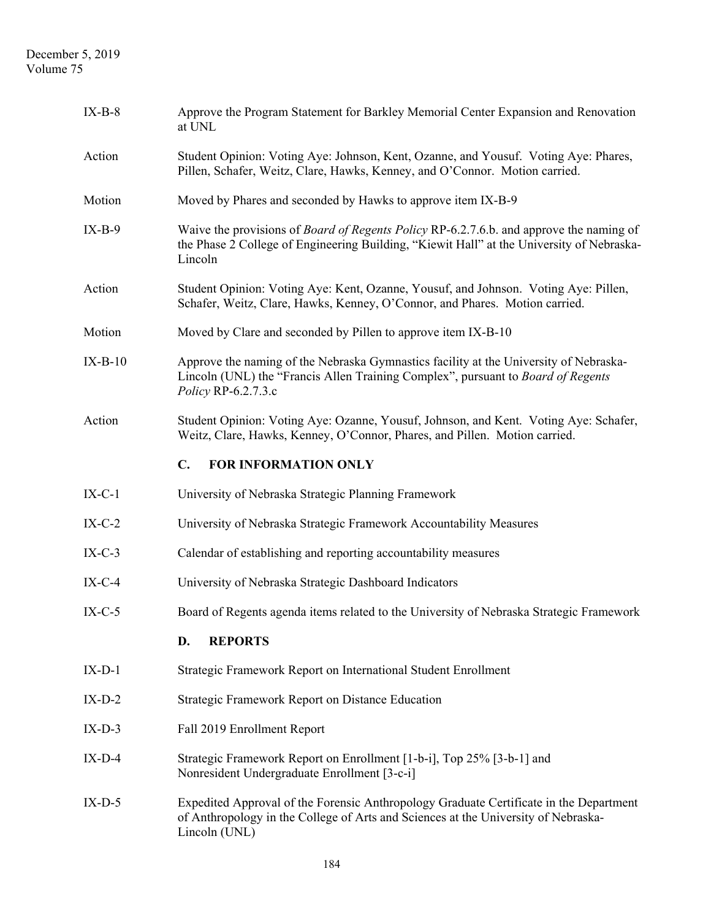# December 5, 2019 Volume 75

| $IX-B-8$  | Approve the Program Statement for Barkley Memorial Center Expansion and Renovation<br>at UNL                                                                                                           |  |  |  |
|-----------|--------------------------------------------------------------------------------------------------------------------------------------------------------------------------------------------------------|--|--|--|
| Action    | Student Opinion: Voting Aye: Johnson, Kent, Ozanne, and Yousuf. Voting Aye: Phares,<br>Pillen, Schafer, Weitz, Clare, Hawks, Kenney, and O'Connor. Motion carried.                                     |  |  |  |
| Motion    | Moved by Phares and seconded by Hawks to approve item IX-B-9                                                                                                                                           |  |  |  |
| $IX-B-9$  | Waive the provisions of <i>Board of Regents Policy</i> RP-6.2.7.6.b. and approve the naming of<br>the Phase 2 College of Engineering Building, "Kiewit Hall" at the University of Nebraska-<br>Lincoln |  |  |  |
| Action    | Student Opinion: Voting Aye: Kent, Ozanne, Yousuf, and Johnson. Voting Aye: Pillen,<br>Schafer, Weitz, Clare, Hawks, Kenney, O'Connor, and Phares. Motion carried.                                     |  |  |  |
| Motion    | Moved by Clare and seconded by Pillen to approve item IX-B-10                                                                                                                                          |  |  |  |
| $IX-B-10$ | Approve the naming of the Nebraska Gymnastics facility at the University of Nebraska-<br>Lincoln (UNL) the "Francis Allen Training Complex", pursuant to Board of Regents<br>Policy RP-6.2.7.3.c       |  |  |  |
| Action    | Student Opinion: Voting Aye: Ozanne, Yousuf, Johnson, and Kent. Voting Aye: Schafer,<br>Weitz, Clare, Hawks, Kenney, O'Connor, Phares, and Pillen. Motion carried.                                     |  |  |  |
|           | FOR INFORMATION ONLY<br>$\mathbf{C}$ .                                                                                                                                                                 |  |  |  |
| $IX-C-1$  | University of Nebraska Strategic Planning Framework                                                                                                                                                    |  |  |  |
| $IX-C-2$  | University of Nebraska Strategic Framework Accountability Measures                                                                                                                                     |  |  |  |
| $IX-C-3$  | Calendar of establishing and reporting accountability measures                                                                                                                                         |  |  |  |
| $IX-C-4$  | University of Nebraska Strategic Dashboard Indicators                                                                                                                                                  |  |  |  |
| $IX-C-5$  | Board of Regents agenda items related to the University of Nebraska Strategic Framework                                                                                                                |  |  |  |
|           | D.<br><b>REPORTS</b>                                                                                                                                                                                   |  |  |  |
| $IX-D-1$  | Strategic Framework Report on International Student Enrollment                                                                                                                                         |  |  |  |
| $IX-D-2$  | <b>Strategic Framework Report on Distance Education</b>                                                                                                                                                |  |  |  |
| $IX-D-3$  | Fall 2019 Enrollment Report                                                                                                                                                                            |  |  |  |
| $IX-D-4$  | Strategic Framework Report on Enrollment [1-b-i], Top 25% [3-b-1] and<br>Nonresident Undergraduate Enrollment [3-c-i]                                                                                  |  |  |  |
| $IX-D-5$  | Expedited Approval of the Forensic Anthropology Graduate Certificate in the Department<br>of Anthropology in the College of Arts and Sciences at the University of Nebraska-<br>Lincoln (UNL)          |  |  |  |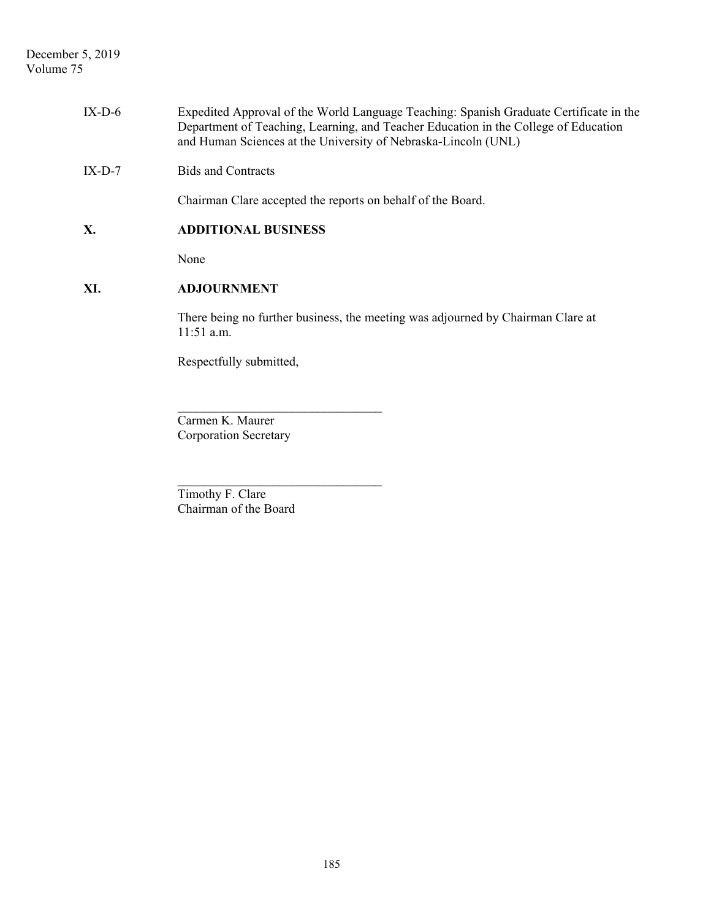December 5, 2019 Volume 75

| $IX-D-6$ | Expedited Approval of the World Language Teaching: Spanish Graduate Certificate in the<br>Department of Teaching, Learning, and Teacher Education in the College of Education<br>and Human Sciences at the University of Nebraska-Lincoln (UNL) |
|----------|-------------------------------------------------------------------------------------------------------------------------------------------------------------------------------------------------------------------------------------------------|
| $IX-D-7$ | <b>Bids and Contracts</b>                                                                                                                                                                                                                       |
|          | Chairman Clare accepted the reports on behalf of the Board.                                                                                                                                                                                     |
| X.       | <b>ADDITIONAL BUSINESS</b>                                                                                                                                                                                                                      |
|          | None                                                                                                                                                                                                                                            |
| XI.      | <b>ADJOURNMENT</b>                                                                                                                                                                                                                              |
|          | There being no further business, the meeting was adjourned by Chairman Clare at<br>11:51 a.m.                                                                                                                                                   |
|          | Respectfully submitted,                                                                                                                                                                                                                         |
|          |                                                                                                                                                                                                                                                 |

Carmen K. Maurer Corporation Secretary

 $\mathcal{L}_\text{max}$ 

 $\mathcal{L}_\text{max}$ 

Timothy F. Clare Chairman of the Board